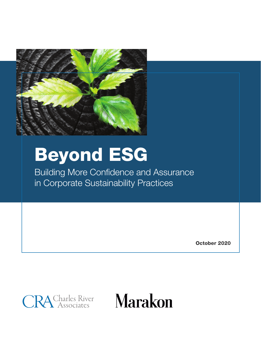

# Beyond ESG

Building More Confidence and Assurance in Corporate Sustainability Practices

October 2020



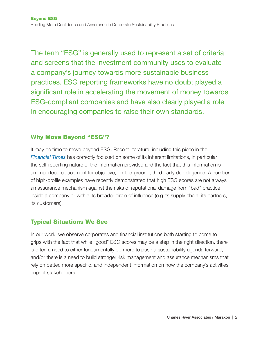The term "ESG" is generally used to represent a set of criteria and screens that the investment community uses to evaluate a company's journey towards more sustainable business practices. ESG reporting frameworks have no doubt played a significant role in accelerating the movement of money towards ESG-compliant companies and have also clearly played a role in encouraging companies to raise their own standards.

# Why Move Beyond "ESG"?

It may be time to move beyond ESG. Recent literature, including this piece in the *[Financial Times](https://www.ft.com/content/48e02694-a54c-4cec-9af6-ada8b4955e20)* has correctly focused on some of its inherent limitations, in particular the self-reporting nature of the information provided and the fact that this information is an imperfect replacement for objective, on-the-ground, third party due diligence. A number of high-profile examples have recently demonstrated that high ESG scores are not always an assurance mechanism against the risks of reputational damage from "bad" practice inside a company or within its broader circle of influence (e.g its supply chain, its partners, its customers).

# Typical Situations We See

In our work, we observe corporates and financial institutions both starting to come to grips with the fact that while "good" ESG scores may be a step in the right direction, there is often a need to either fundamentally do more to push a sustainability agenda forward, and/or there is a need to build stronger risk management and assurance mechanisms that rely on better, more specific, and independent information on how the company's activities impact stakeholders.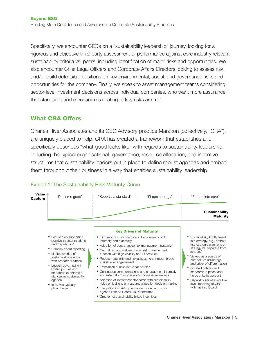Specifically, we encounter CEOs on a "sustainability leadership" journey, looking for a rigorous and objective third-party assessment of performance against core industry relevant sustainability criteria vs. peers, including identification of major risks and opportunities. We also encounter Chief Legal Officers and Corporate Affairs Directors looking to assess risk and/or build defensible positions on key environmental, social, and governance risks and opportunities for the company. Finally, we speak to asset management teams considering sector-level investment decisions across individual companies, who want more assurance that standards and mechanisms relating to key risks are met.

# What CRA Offers

Charles River Associates and its CEO Advisory practice Marakon (collectively, "CRA"), are uniquely placed to help. CRA has created a framework that establishes and specifically describes "what good looks like" with regards to sustainability leadership, including the typical organisational, governance, resource allocation, and incentive structures that sustainability leaders put in place to define robust agendas and embed them throughout their business in a way that enables sustainability leadership.



## Exhibit 1: The Sustainability Risk Maturity Curve



**Sustainability** Maturity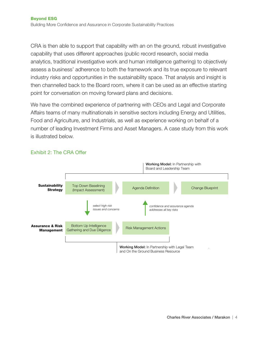CRA is then able to support that capability with an on the ground, robust investigative capability that uses different approaches (public record research, social media analytics, traditional investigative work and human intelligence gathering) to objectively assess a business' adherence to both the framework and its true exposure to relevant industry risks and opportunities in the sustainability space. That analysis and insight is then channelled back to the Board room, where it can be used as an effective starting point for conversation on moving forward plans and decisions.

We have the combined experience of partnering with CEOs and Legal and Corporate Affairs teams of many multinationals in sensitive sectors including Energy and Utilities, Food and Agriculture, and Industrials, as well as experience working on behalf of a number of leading Investment Firms and Asset Managers. A case study from this work is illustrated below.



### Exhibit 2: The CRA Offer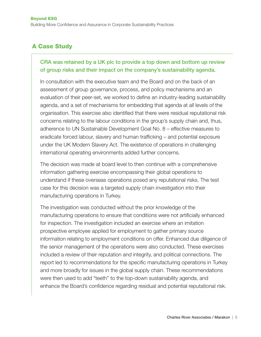# A Case Study

## CRA was retained by a UK plc to provide a top down and bottom up review of group risks and their impact on the company's sustainability agenda.

In consultation with the executive team and the Board and on the back of an assessment of group governance, process, and policy mechanisms and an evaluation of their peer-set, we worked to define an industry-leading sustainability agenda, and a set of mechanisms for embedding that agenda at all levels of the organisation. This exercise also identified that there were residual reputational risk concerns relating to the labour conditions in the group's supply chain and, thus, adherence to UN Sustainable Development Goal No. 8 – effective measures to eradicate forced labour, slavery and human trafficking – and potential exposure under the UK Modern Slavery Act. The existence of operations in challenging international operating environments added further concerns.

The decision was made at board level to then continue with a comprehensive information gathering exercise encompassing their global operations to understand if these overseas operations posed any reputational risks. The test case for this decision was a targeted supply chain investigation into their manufacturing operations in Turkey.

The investigation was conducted without the prior knowledge of the manufacturing operations to ensure that conditions were not artificially enhanced for inspection. The investigation included an exercise where an imitation prospective employee applied for employment to gather primary source information relating to employment conditions on offer. Enhanced due diligence of the senior management of the operations were also conducted. These exercises included a review of their reputation and integrity, and political connections. The report led to recommendations for the specific manufacturing operations in Turkey and more broadly for issues in the global supply chain. These recommendations were then used to add "teeth" to the top-down sustainability agenda, and enhance the Board's confidence regarding residual and potential reputational risk.